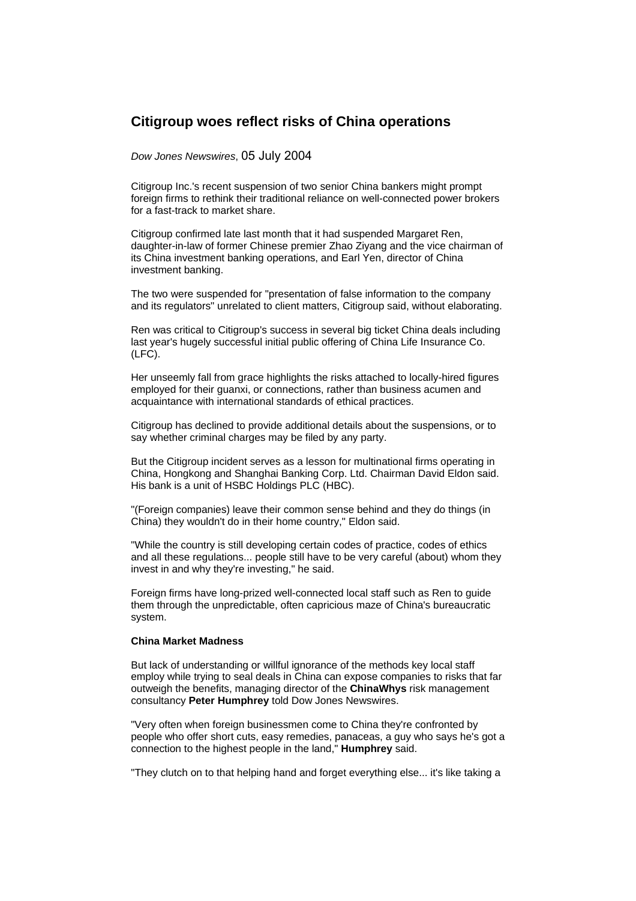## **Citigroup woes reflect risks of China operations**

*Dow Jones Newswires*, 05 July 2004

Citigroup Inc.'s recent suspension of two senior China bankers might prompt foreign firms to rethink their traditional reliance on well-connected power brokers for a fast-track to market share.

Citigroup confirmed late last month that it had suspended Margaret Ren, daughter-in-law of former Chinese premier Zhao Ziyang and the vice chairman of its China investment banking operations, and Earl Yen, director of China investment banking.

The two were suspended for "presentation of false information to the company and its regulators" unrelated to client matters, Citigroup said, without elaborating.

Ren was critical to Citigroup's success in several big ticket China deals including last year's hugely successful initial public offering of China Life Insurance Co. (LFC).

Her unseemly fall from grace highlights the risks attached to locally-hired figures employed for their guanxi, or connections, rather than business acumen and acquaintance with international standards of ethical practices.

Citigroup has declined to provide additional details about the suspensions, or to say whether criminal charges may be filed by any party.

But the Citigroup incident serves as a lesson for multinational firms operating in China, Hongkong and Shanghai Banking Corp. Ltd. Chairman David Eldon said. His bank is a unit of HSBC Holdings PLC (HBC).

"(Foreign companies) leave their common sense behind and they do things (in China) they wouldn't do in their home country," Eldon said.

"While the country is still developing certain codes of practice, codes of ethics and all these regulations... people still have to be very careful (about) whom they invest in and why they're investing," he said.

Foreign firms have long-prized well-connected local staff such as Ren to guide them through the unpredictable, often capricious maze of China's bureaucratic system.

## **China Market Madness**

But lack of understanding or willful ignorance of the methods key local staff employ while trying to seal deals in China can expose companies to risks that far outweigh the benefits, managing director of the **ChinaWhys** risk management consultancy **Peter Humphrey** told Dow Jones Newswires.

"Very often when foreign businessmen come to China they're confronted by people who offer short cuts, easy remedies, panaceas, a guy who says he's got a connection to the highest people in the land," **Humphrey** said.

"They clutch on to that helping hand and forget everything else... it's like taking a